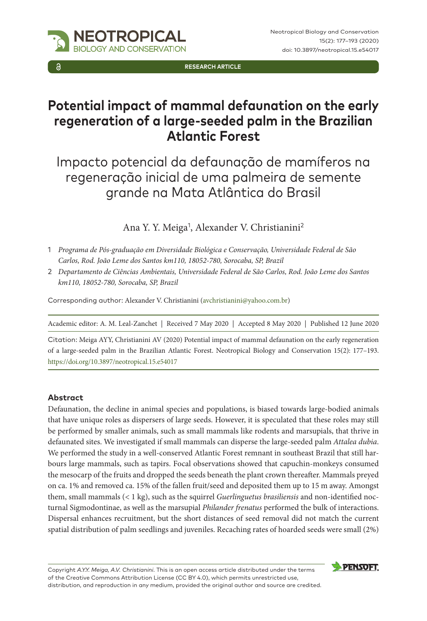**RESEARCH ARTICLE**

# **Potential impact of mammal defaunation on the early regeneration of a large-seeded palm in the Brazilian Atlantic Forest**

Impacto potencial da defaunação de mamíferos na regeneração inicial de uma palmeira de semente grande na Mata Atlântica do Brasil

Ana Y. Y. Meiga<sup>1</sup>, Alexander V. Christianini<sup>2</sup>

- 1 *Programa de Pós-graduação em Diversidade Biológica e Conservação, Universidade Federal de São Carlos, Rod. João Leme dos Santos km110, 18052-780, Sorocaba, SP, Brazil*
- 2 *Departamento de Ciências Ambientais, Universidade Federal de São Carlos, Rod. João Leme dos Santos km110, 18052-780, Sorocaba, SP, Brazil*

Corresponding author: Alexander V. Christianini [\(avchristianini@yahoo.com.br](mailto:avchristianini@yahoo.com.br))

Academic editor: A. M. Leal-Zanchet | Received 7 May 2020 | Accepted 8 May 2020 | Published 12 June 2020

Citation: Meiga AYY, Christianini AV (2020) Potential impact of mammal defaunation on the early regeneration of a large-seeded palm in the Brazilian Atlantic Forest. Neotropical Biology and Conservation 15(2): 177–193. [https://doi.org/10.3897/neotropical.15.e54017](https://doi.org/%18)

### **Abstract**

Defaunation, the decline in animal species and populations, is biased towards large-bodied animals that have unique roles as dispersers of large seeds. However, it is speculated that these roles may still be performed by smaller animals, such as small mammals like rodents and marsupials, that thrive in defaunated sites. We investigated if small mammals can disperse the large-seeded palm *Attalea dubia*. We performed the study in a well-conserved Atlantic Forest remnant in southeast Brazil that still harbours large mammals, such as tapirs. Focal observations showed that capuchin-monkeys consumed the mesocarp of the fruits and dropped the seeds beneath the plant crown thereafter. Mammals preyed on ca. 1% and removed ca. 15% of the fallen fruit/seed and deposited them up to 15 m away. Amongst them, small mammals (< 1 kg), such as the squirrel *Guerlinguetus brasiliensis* and non-identified nocturnal Sigmodontinae, as well as the marsupial *Philander frenatus* performed the bulk of interactions. Dispersal enhances recruitment, but the short distances of seed removal did not match the current spatial distribution of palm seedlings and juveniles. Recaching rates of hoarded seeds were small (2%)

Copyright *A.Y.Y. Meiga, A.V. Christianini*. This is an open access article distributed under the terms of the [Creative Commons Attribution License \(CC BY 4.0\)](http://creativecommons.org/licenses/by/4.0/), which permits unrestricted use, distribution, and reproduction in any medium, provided the original author and source are credited.

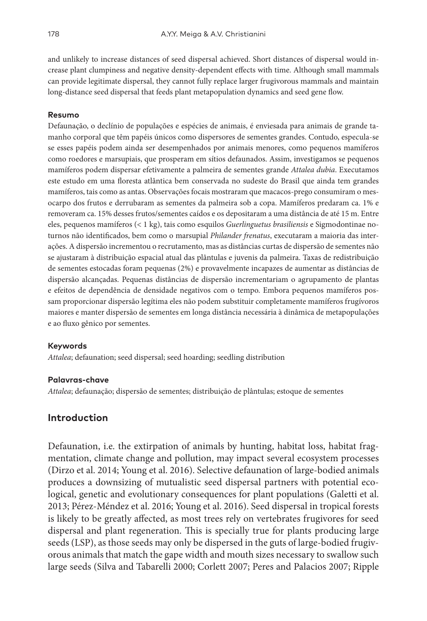and unlikely to increase distances of seed dispersal achieved. Short distances of dispersal would increase plant clumpiness and negative density-dependent effects with time. Although small mammals can provide legitimate dispersal, they cannot fully replace larger frugivorous mammals and maintain long-distance seed dispersal that feeds plant metapopulation dynamics and seed gene flow.

#### **Resumo**

Defaunação, o declínio de populações e espécies de animais, é enviesada para animais de grande tamanho corporal que têm papéis únicos como dispersores de sementes grandes. Contudo, especula-se se esses papéis podem ainda ser desempenhados por animais menores, como pequenos mamíferos como roedores e marsupiais, que prosperam em sítios defaunados. Assim, investigamos se pequenos mamíferos podem dispersar efetivamente a palmeira de sementes grande *Attalea dubia*. Executamos este estudo em uma floresta atlântica bem conservada no sudeste do Brasil que ainda tem grandes mamíferos, tais como as antas. Observações focais mostraram que macacos-prego consumiram o mesocarpo dos frutos e derrubaram as sementes da palmeira sob a copa. Mamíferos predaram ca. 1% e removeram ca. 15% desses frutos/sementes caídos e os depositaram a uma distância de até 15 m. Entre eles, pequenos mamíferos (< 1 kg), tais como esquilos *Guerlinguetus brasiliensis* e Sigmodontinae noturnos não identificados, bem como o marsupial *Philander frenatus*, executaram a maioria das interações. A dispersão incrementou o recrutamento, mas as distâncias curtas de dispersão de sementes não se ajustaram à distribuição espacial atual das plântulas e juvenis da palmeira. Taxas de redistribuição de sementes estocadas foram pequenas (2%) e provavelmente incapazes de aumentar as distâncias de dispersão alcançadas. Pequenas distâncias de dispersão incrementariam o agrupamento de plantas e efeitos de dependência de densidade negativos com o tempo. Embora pequenos mamíferos possam proporcionar dispersão legítima eles não podem substituir completamente mamíferos frugívoros maiores e manter dispersão de sementes em longa distância necessária à dinâmica de metapopulações e ao fluxo gênico por sementes.

#### **Keywords**

*Attalea*; defaunation; seed dispersal; seed hoarding; seedling distribution

#### **Palavras-chave**

*Attalea*; defaunação; dispersão de sementes; distribuição de plântulas; estoque de sementes

### **Introduction**

Defaunation, i.e. the extirpation of animals by hunting, habitat loss, habitat fragmentation, climate change and pollution, may impact several ecosystem processes (Dirzo et al. 2014; Young et al. 2016). Selective defaunation of large-bodied animals produces a downsizing of mutualistic seed dispersal partners with potential ecological, genetic and evolutionary consequences for plant populations (Galetti et al. 2013; Pérez-Méndez et al. 2016; Young et al. 2016). Seed dispersal in tropical forests is likely to be greatly affected, as most trees rely on vertebrates frugivores for seed dispersal and plant regeneration. This is specially true for plants producing large seeds (LSP), as those seeds may only be dispersed in the guts of large-bodied frugivorous animals that match the gape width and mouth sizes necessary to swallow such large seeds (Silva and Tabarelli 2000; Corlett 2007; Peres and Palacios 2007; Ripple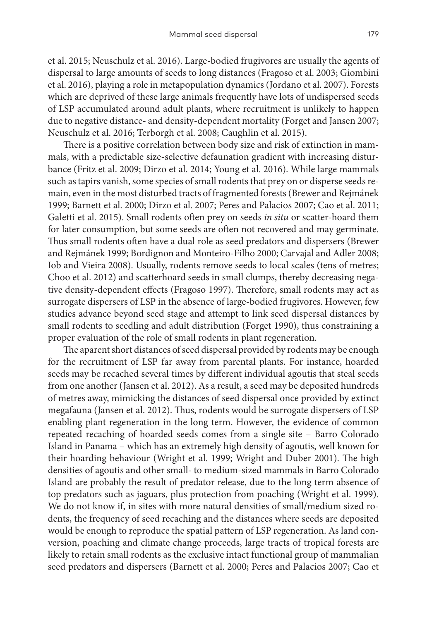et al. 2015; Neuschulz et al. 2016). Large-bodied frugivores are usually the agents of dispersal to large amounts of seeds to long distances (Fragoso et al. 2003; Giombini et al. 2016), playing a role in metapopulation dynamics (Jordano et al. 2007). Forests which are deprived of these large animals frequently have lots of undispersed seeds of LSP accumulated around adult plants, where recruitment is unlikely to happen due to negative distance- and density-dependent mortality (Forget and Jansen 2007; Neuschulz et al. 2016; Terborgh et al. 2008; Caughlin et al. 2015).

There is a positive correlation between body size and risk of extinction in mammals, with a predictable size-selective defaunation gradient with increasing disturbance (Fritz et al. 2009; Dirzo et al. 2014; Young et al. 2016). While large mammals such as tapirs vanish, some species of small rodents that prey on or disperse seeds remain, even in the most disturbed tracts of fragmented forests (Brewer and Rejmánek 1999; Barnett et al. 2000; Dirzo et al. 2007; Peres and Palacios 2007; Cao et al. 2011; Galetti et al. 2015). Small rodents often prey on seeds *in situ* or scatter-hoard them for later consumption, but some seeds are often not recovered and may germinate. Thus small rodents often have a dual role as seed predators and dispersers (Brewer and Rejmánek 1999; Bordignon and Monteiro-Filho 2000; Carvajal and Adler 2008; Iob and Vieira 2008). Usually, rodents remove seeds to local scales (tens of metres; Choo et al. 2012) and scatterhoard seeds in small clumps, thereby decreasing negative density-dependent effects (Fragoso 1997). Therefore, small rodents may act as surrogate dispersers of LSP in the absence of large-bodied frugivores. However, few studies advance beyond seed stage and attempt to link seed dispersal distances by small rodents to seedling and adult distribution (Forget 1990), thus constraining a proper evaluation of the role of small rodents in plant regeneration.

The aparent short distances of seed dispersal provided by rodents may be enough for the recruitment of LSP far away from parental plants. For instance, hoarded seeds may be recached several times by different individual agoutis that steal seeds from one another (Jansen et al. 2012). As a result, a seed may be deposited hundreds of metres away, mimicking the distances of seed dispersal once provided by extinct megafauna (Jansen et al. 2012). Thus, rodents would be surrogate dispersers of LSP enabling plant regeneration in the long term. However, the evidence of common repeated recaching of hoarded seeds comes from a single site – Barro Colorado Island in Panama – which has an extremely high density of agoutis, well known for their hoarding behaviour (Wright et al. 1999; Wright and Duber 2001). The high densities of agoutis and other small- to medium-sized mammals in Barro Colorado Island are probably the result of predator release, due to the long term absence of top predators such as jaguars, plus protection from poaching (Wright et al. 1999). We do not know if, in sites with more natural densities of small/medium sized rodents, the frequency of seed recaching and the distances where seeds are deposited would be enough to reproduce the spatial pattern of LSP regeneration. As land conversion, poaching and climate change proceeds, large tracts of tropical forests are likely to retain small rodents as the exclusive intact functional group of mammalian seed predators and dispersers (Barnett et al. 2000; Peres and Palacios 2007; Cao et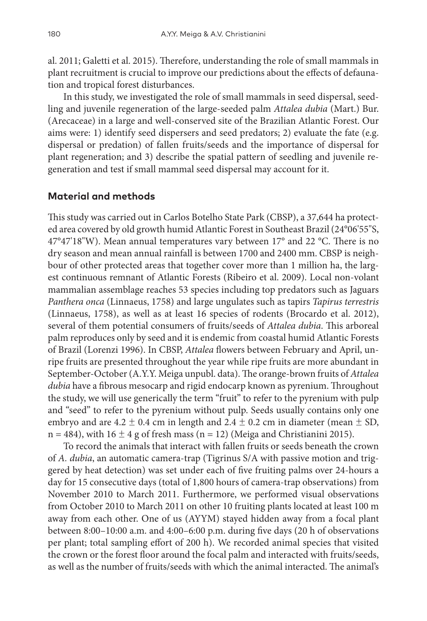al. 2011; Galetti et al. 2015). Therefore, understanding the role of small mammals in plant recruitment is crucial to improve our predictions about the effects of defaunation and tropical forest disturbances.

In this study, we investigated the role of small mammals in seed dispersal, seedling and juvenile regeneration of the large-seeded palm *Attalea dubia* (Mart.) Bur. (Arecaceae) in a large and well-conserved site of the Brazilian Atlantic Forest. Our aims were: 1) identify seed dispersers and seed predators; 2) evaluate the fate (e.g. dispersal or predation) of fallen fruits/seeds and the importance of dispersal for plant regeneration; and 3) describe the spatial pattern of seedling and juvenile regeneration and test if small mammal seed dispersal may account for it.

# **Material and methods**

This study was carried out in Carlos Botelho State Park (CBSP), a 37,644 ha protected area covered by old growth humid Atlantic Forest in Southeast Brazil (24°06'55"S, 47°47'18"W). Mean annual temperatures vary between 17° and 22 °C. There is no dry season and mean annual rainfall is between 1700 and 2400 mm. CBSP is neighbour of other protected areas that together cover more than 1 million ha, the largest continuous remnant of Atlantic Forests (Ribeiro et al. 2009). Local non-volant mammalian assemblage reaches 53 species including top predators such as Jaguars *Panthera onca* (Linnaeus, 1758) and large ungulates such as tapirs *Tapirus terrestris* (Linnaeus, 1758), as well as at least 16 species of rodents (Brocardo et al. 2012), several of them potential consumers of fruits/seeds of *Attalea dubia*. This arboreal palm reproduces only by seed and it is endemic from coastal humid Atlantic Forests of Brazil (Lorenzi 1996). In CBSP, *Attalea* flowers between February and April, unripe fruits are presented throughout the year while ripe fruits are more abundant in September-October (A.Y.Y. Meiga unpubl. data). The orange-brown fruits of *Attalea dubia* have a fibrous mesocarp and rigid endocarp known as pyrenium. Throughout the study, we will use generically the term "fruit" to refer to the pyrenium with pulp and "seed" to refer to the pyrenium without pulp. Seeds usually contains only one embryo and are  $4.2 \pm 0.4$  cm in length and  $2.4 \pm 0.2$  cm in diameter (mean  $\pm$  SD,  $n = 484$ ), with  $16 \pm 4$  g of fresh mass ( $n = 12$ ) (Meiga and Christianini 2015).

To record the animals that interact with fallen fruits or seeds beneath the crown of *A. dubia*, an automatic camera-trap (Tigrinus S/A with passive motion and triggered by heat detection) was set under each of five fruiting palms over 24-hours a day for 15 consecutive days (total of 1,800 hours of camera-trap observations) from November 2010 to March 2011. Furthermore, we performed visual observations from October 2010 to March 2011 on other 10 fruiting plants located at least 100 m away from each other. One of us (AYYM) stayed hidden away from a focal plant between 8:00–10:00 a.m. and 4:00–6:00 p.m. during five days (20 h of observations per plant; total sampling effort of 200 h). We recorded animal species that visited the crown or the forest floor around the focal palm and interacted with fruits/seeds, as well as the number of fruits/seeds with which the animal interacted. The animal's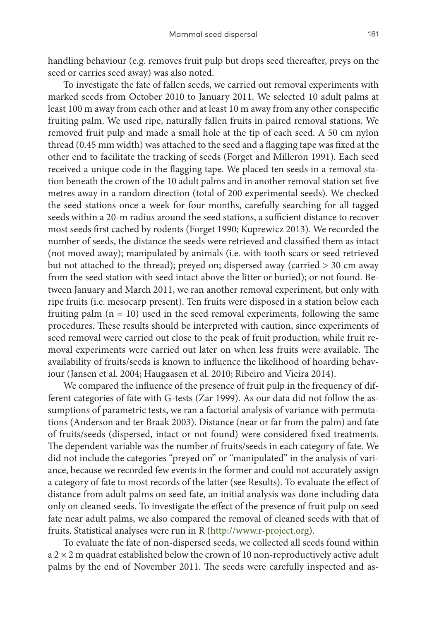handling behaviour (e.g. removes fruit pulp but drops seed thereafter, preys on the seed or carries seed away) was also noted.

To investigate the fate of fallen seeds, we carried out removal experiments with marked seeds from October 2010 to January 2011. We selected 10 adult palms at least 100 m away from each other and at least 10 m away from any other conspecific fruiting palm. We used ripe, naturally fallen fruits in paired removal stations. We removed fruit pulp and made a small hole at the tip of each seed. A 50 cm nylon thread (0.45 mm width) was attached to the seed and a flagging tape was fixed at the other end to facilitate the tracking of seeds (Forget and Milleron 1991). Each seed received a unique code in the flagging tape. We placed ten seeds in a removal station beneath the crown of the 10 adult palms and in another removal station set five metres away in a random direction (total of 200 experimental seeds). We checked the seed stations once a week for four months, carefully searching for all tagged seeds within a 20-m radius around the seed stations, a sufficient distance to recover most seeds first cached by rodents (Forget 1990; Kuprewicz 2013). We recorded the number of seeds, the distance the seeds were retrieved and classified them as intact (not moved away); manipulated by animals (i.e. with tooth scars or seed retrieved but not attached to the thread); preyed on; dispersed away (carried > 30 cm away from the seed station with seed intact above the litter or buried); or not found. Between January and March 2011, we ran another removal experiment, but only with ripe fruits (i.e. mesocarp present). Ten fruits were disposed in a station below each fruiting palm  $(n = 10)$  used in the seed removal experiments, following the same procedures. These results should be interpreted with caution, since experiments of seed removal were carried out close to the peak of fruit production, while fruit removal experiments were carried out later on when less fruits were available. The availability of fruits/seeds is known to influence the likelihood of hoarding behaviour (Jansen et al. 2004; Haugaasen et al. 2010; Ribeiro and Vieira 2014).

We compared the influence of the presence of fruit pulp in the frequency of different categories of fate with G-tests (Zar 1999). As our data did not follow the assumptions of parametric tests, we ran a factorial analysis of variance with permutations (Anderson and ter Braak 2003). Distance (near or far from the palm) and fate of fruits/seeds (dispersed, intact or not found) were considered fixed treatments. The dependent variable was the number of fruits/seeds in each category of fate. We did not include the categories "preyed on" or "manipulated" in the analysis of variance, because we recorded few events in the former and could not accurately assign a category of fate to most records of the latter (see Results). To evaluate the effect of distance from adult palms on seed fate, an initial analysis was done including data only on cleaned seeds. To investigate the effect of the presence of fruit pulp on seed fate near adult palms, we also compared the removal of cleaned seeds with that of fruits. Statistical analyses were run in R ([http://www.r-project.org\)](http://www.r-project.org).

To evaluate the fate of non-dispersed seeds, we collected all seeds found within  $a$  2  $\times$  2 m quadrat established below the crown of 10 non-reproductively active adult palms by the end of November 2011. The seeds were carefully inspected and as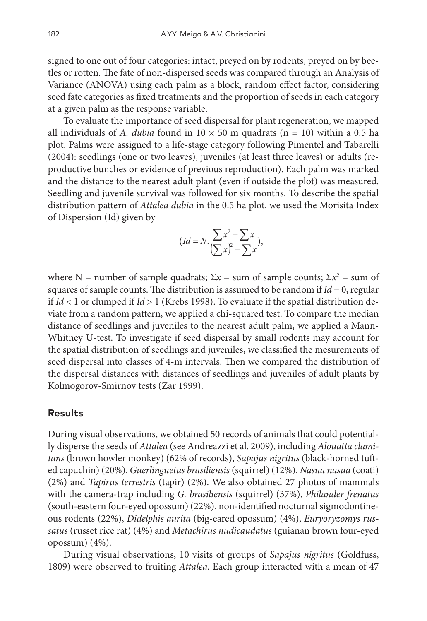signed to one out of four categories: intact, preyed on by rodents, preyed on by beetles or rotten. The fate of non-dispersed seeds was compared through an Analysis of Variance (ANOVA) using each palm as a block, random effect factor, considering seed fate categories as fixed treatments and the proportion of seeds in each category at a given palm as the response variable.

To evaluate the importance of seed dispersal for plant regeneration, we mapped all individuals of *A. dubia* found in  $10 \times 50$  m quadrats (n = 10) within a 0.5 ha plot. Palms were assigned to a life-stage category following Pimentel and Tabarelli (2004): seedlings (one or two leaves), juveniles (at least three leaves) or adults (reproductive bunches or evidence of previous reproduction). Each palm was marked and the distance to the nearest adult plant (even if outside the plot) was measured. Seedling and juvenile survival was followed for six months. To describe the spatial distribution pattern of *Attalea dubia* in the 0.5 ha plot, we used the Morisita Index of Dispersion (Id) given by

$$
(Id = N.\frac{\sum x^2 - \sum x}{\left(\sum x\right)^2 - \sum x},
$$

where N = number of sample quadrats;  $\Sigma x$  = sum of sample counts;  $\Sigma x^2$  = sum of squares of sample counts. The distribution is assumed to be random if  $Id = 0$ , regular if *Id* < 1 or clumped if *Id* > 1 (Krebs 1998). To evaluate if the spatial distribution deviate from a random pattern, we applied a chi-squared test. To compare the median distance of seedlings and juveniles to the nearest adult palm, we applied a Mann-Whitney U-test. To investigate if seed dispersal by small rodents may account for the spatial distribution of seedlings and juveniles, we classified the mesurements of seed dispersal into classes of 4-m intervals. Then we compared the distribution of the dispersal distances with distances of seedlings and juveniles of adult plants by Kolmogorov-Smirnov tests (Zar 1999).

### **Results**

During visual observations, we obtained 50 records of animals that could potentially disperse the seeds of *Attalea* (see Andreazzi et al. 2009), including *Alouatta clamitans* (brown howler monkey) (62% of records), *Sapajus nigritus* (black-horned tufted capuchin) (20%), *Guerlinguetus brasiliensis* (squirrel) (12%), *Nasua nasua* (coati) (2%) and *Tapirus terrestris* (tapir) (2%). We also obtained 27 photos of mammals with the camera-trap including *G. brasiliensis* (squirrel) (37%), *Philander frenatus* (south-eastern four-eyed opossum) (22%), non-identified nocturnal sigmodontineous rodents (22%), *Didelphis aurita* (big-eared opossum) (4%), *Euryoryzomys russatus* (russet rice rat) (4%) and *Metachirus nudicaudatus* (guianan brown four-eyed opossum) (4%).

During visual observations, 10 visits of groups of *Sapajus nigritus* (Goldfuss, 1809) were observed to fruiting *Attalea*. Each group interacted with a mean of 47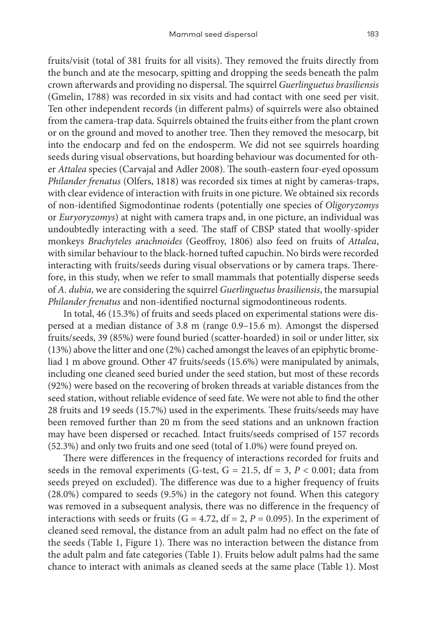fruits/visit (total of 381 fruits for all visits). They removed the fruits directly from the bunch and ate the mesocarp, spitting and dropping the seeds beneath the palm crown afterwards and providing no dispersal. The squirrel *Guerlinguetus brasiliensis* (Gmelin, 1788) was recorded in six visits and had contact with one seed per visit. Ten other independent records (in different palms) of squirrels were also obtained from the camera-trap data. Squirrels obtained the fruits either from the plant crown or on the ground and moved to another tree. Then they removed the mesocarp, bit into the endocarp and fed on the endosperm. We did not see squirrels hoarding seeds during visual observations, but hoarding behaviour was documented for other *Attalea* species (Carvajal and Adler 2008). The south-eastern four-eyed opossum *Philander frenatus* (Olfers, 1818) was recorded six times at night by cameras-traps, with clear evidence of interaction with fruits in one picture. We obtained six records of non-identified Sigmodontinae rodents (potentially one species of *Oligoryzomys* or *Euryoryzomys*) at night with camera traps and, in one picture, an individual was undoubtedly interacting with a seed. The staff of CBSP stated that woolly-spider monkeys *Brachyteles arachnoides* (Geoffroy, 1806) also feed on fruits of *Attalea*, with similar behaviour to the black-horned tufted capuchin. No birds were recorded interacting with fruits/seeds during visual observations or by camera traps. Therefore, in this study, when we refer to small mammals that potentially disperse seeds of *A. dubia*, we are considering the squirrel *Guerlinguetus brasiliensis*, the marsupial *Philander frenatus* and non-identified nocturnal sigmodontineous rodents.

In total, 46 (15.3%) of fruits and seeds placed on experimental stations were dispersed at a median distance of 3.8 m (range 0.9–15.6 m). Amongst the dispersed fruits/seeds, 39 (85%) were found buried (scatter-hoarded) in soil or under litter, six (13%) above the litter and one (2%) cached amongst the leaves of an epiphytic bromeliad 1 m above ground. Other 47 fruits/seeds (15.6%) were manipulated by animals, including one cleaned seed buried under the seed station, but most of these records (92%) were based on the recovering of broken threads at variable distances from the seed station, without reliable evidence of seed fate. We were not able to find the other 28 fruits and 19 seeds (15.7%) used in the experiments. These fruits/seeds may have been removed further than 20 m from the seed stations and an unknown fraction may have been dispersed or recached. Intact fruits/seeds comprised of 157 records (52.3%) and only two fruits and one seed (total of 1.0%) were found preyed on.

There were differences in the frequency of interactions recorded for fruits and seeds in the removal experiments (G-test,  $G = 21.5$ ,  $df = 3$ ,  $P < 0.001$ ; data from seeds preyed on excluded). The difference was due to a higher frequency of fruits (28.0%) compared to seeds (9.5%) in the category not found. When this category was removed in a subsequent analysis, there was no difference in the frequency of interactions with seeds or fruits ( $G = 4.72$ ,  $df = 2$ ,  $P = 0.095$ ). In the experiment of cleaned seed removal, the distance from an adult palm had no effect on the fate of the seeds (Table 1, Figure 1). There was no interaction between the distance from the adult palm and fate categories (Table 1). Fruits below adult palms had the same chance to interact with animals as cleaned seeds at the same place (Table 1). Most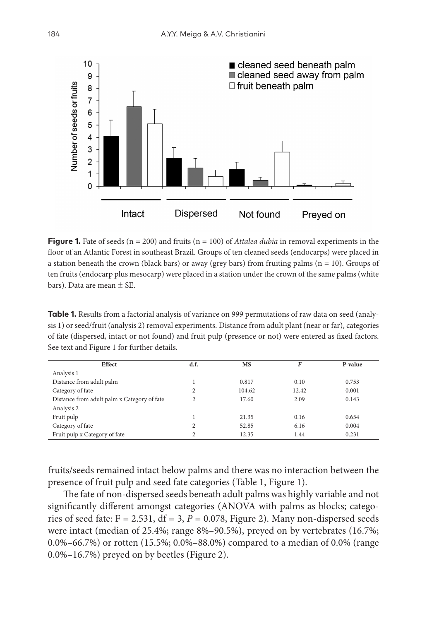

**Figure 1.** Fate of seeds  $(n = 200)$  and fruits  $(n = 100)$  of *Attalea dubia* in removal experiments in the floor of an Atlantic Forest in southeast Brazil. Groups of ten cleaned seeds (endocarps) were placed in a station beneath the crown (black bars) or away (grey bars) from fruiting palms ( $n = 10$ ). Groups of ten fruits (endocarp plus mesocarp) were placed in a station under the crown of the same palms (white bars). Data are mean  $\pm$  SE.

**Table 1.** Results from a factorial analysis of variance on 999 permutations of raw data on seed (analysis 1) or seed/fruit (analysis 2) removal experiments. Distance from adult plant (near or far), categories of fate (dispersed, intact or not found) and fruit pulp (presence or not) were entered as fixed factors. See text and Figure 1 for further details.

| Effect                                      | d.f. | MS     | F     | P-value |
|---------------------------------------------|------|--------|-------|---------|
| Analysis 1                                  |      |        |       |         |
| Distance from adult palm                    |      | 0.817  | 0.10  | 0.753   |
| Category of fate                            | 2    | 104.62 | 12.42 | 0.001   |
| Distance from adult palm x Category of fate | ↑    | 17.60  | 2.09  | 0.143   |
| Analysis 2                                  |      |        |       |         |
| Fruit pulp                                  |      | 21.35  | 0.16  | 0.654   |
| Category of fate                            |      | 52.85  | 6.16  | 0.004   |
| Fruit pulp x Category of fate               | ↑    | 12.35  | 1.44  | 0.231   |

fruits/seeds remained intact below palms and there was no interaction between the presence of fruit pulp and seed fate categories (Table 1, Figure 1).

The fate of non-dispersed seeds beneath adult palms was highly variable and not significantly different amongst categories (ANOVA with palms as blocks; categories of seed fate:  $F = 2.531$ ,  $df = 3$ ,  $P = 0.078$ , Figure 2). Many non-dispersed seeds were intact (median of 25.4%; range 8%–90.5%), preyed on by vertebrates (16.7%; 0.0%–66.7%) or rotten (15.5%; 0.0%–88.0%) compared to a median of 0.0% (range 0.0%–16.7%) preyed on by beetles (Figure 2).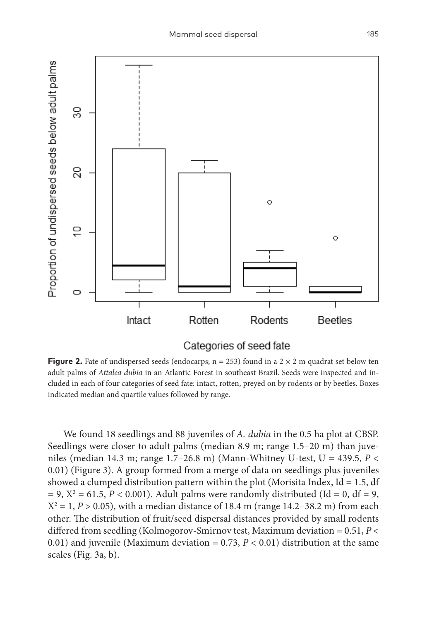

## Categories of seed fate

**Figure 2.** Fate of undispersed seeds (endocarps;  $n = 253$ ) found in a  $2 \times 2$  m quadrat set below ten adult palms of *Attalea dubia* in an Atlantic Forest in southeast Brazil. Seeds were inspected and included in each of four categories of seed fate: intact, rotten, preyed on by rodents or by beetles. Boxes indicated median and quartile values followed by range.

We found 18 seedlings and 88 juveniles of *A. dubia* in the 0.5 ha plot at CBSP. Seedlings were closer to adult palms (median 8.9 m; range 1.5–20 m) than juveniles (median 14.3 m; range 1.7–26.8 m) (Mann-Whitney U-test, U = 439.5, *P* < 0.01) (Figure 3). A group formed from a merge of data on seedlings plus juveniles showed a clumped distribution pattern within the plot (Morisita Index, Id = 1.5, df  $= 9, X^2 = 61.5, P < 0.001$ ). Adult palms were randomly distributed (Id = 0, df = 9,  $X^2 = 1, P > 0.05$ ), with a median distance of 18.4 m (range 14.2–38.2 m) from each other. The distribution of fruit/seed dispersal distances provided by small rodents differed from seedling (Kolmogorov-Smirnov test, Maximum deviation = 0.51, *P* < 0.01) and juvenile (Maximum deviation =  $0.73$ ,  $P < 0.01$ ) distribution at the same scales (Fig. 3a, b).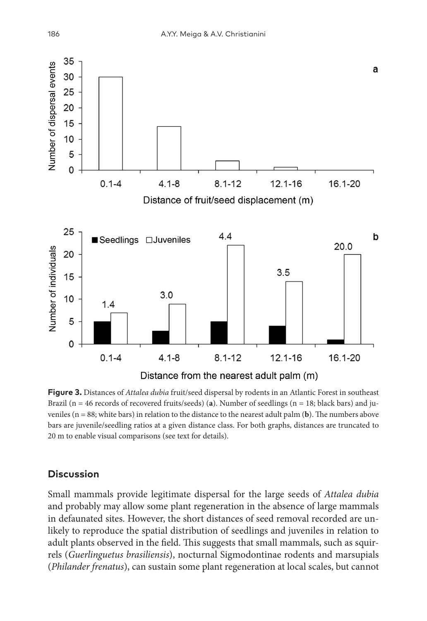

**Figure 3.** Distances of *Attalea dubia* fruit/seed dispersal by rodents in an Atlantic Forest in southeast Brazil (n = 46 records of recovered fruits/seeds) (**a**). Number of seedlings (n = 18; black bars) and juveniles ( $n = 88$ ; white bars) in relation to the distance to the nearest adult palm (**b**). The numbers above bars are juvenile/seedling ratios at a given distance class. For both graphs, distances are truncated to 20 m to enable visual comparisons (see text for details).

### **Discussion**

Small mammals provide legitimate dispersal for the large seeds of *Attalea dubia* and probably may allow some plant regeneration in the absence of large mammals in defaunated sites. However, the short distances of seed removal recorded are unlikely to reproduce the spatial distribution of seedlings and juveniles in relation to adult plants observed in the field. This suggests that small mammals, such as squirrels (*Guerlinguetus brasiliensis*), nocturnal Sigmodontinae rodents and marsupials (*Philander frenatus*), can sustain some plant regeneration at local scales, but cannot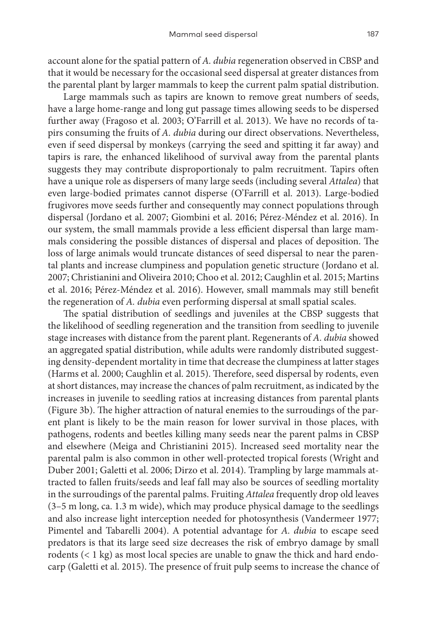account alone for the spatial pattern of *A. dubia* regeneration observed in CBSP and that it would be necessary for the occasional seed dispersal at greater distances from the parental plant by larger mammals to keep the current palm spatial distribution.

Large mammals such as tapirs are known to remove great numbers of seeds, have a large home-range and long gut passage times allowing seeds to be dispersed further away (Fragoso et al. 2003; O'Farrill et al. 2013). We have no records of tapirs consuming the fruits of *A. dubia* during our direct observations. Nevertheless, even if seed dispersal by monkeys (carrying the seed and spitting it far away) and tapirs is rare, the enhanced likelihood of survival away from the parental plants suggests they may contribute disproportionaly to palm recruitment. Tapirs often have a unique role as dispersers of many large seeds (including several *Attalea*) that even large-bodied primates cannot disperse (O'Farrill et al. 2013). Large-bodied frugivores move seeds further and consequently may connect populations through dispersal (Jordano et al. 2007; Giombini et al. 2016; Pérez-Méndez et al. 2016). In our system, the small mammals provide a less efficient dispersal than large mammals considering the possible distances of dispersal and places of deposition. The loss of large animals would truncate distances of seed dispersal to near the parental plants and increase clumpiness and population genetic structure (Jordano et al. 2007; Christianini and Oliveira 2010; Choo et al. 2012; Caughlin et al. 2015; Martins et al. 2016; Pérez-Méndez et al. 2016). However, small mammals may still benefit the regeneration of *A. dubia* even performing dispersal at small spatial scales.

The spatial distribution of seedlings and juveniles at the CBSP suggests that the likelihood of seedling regeneration and the transition from seedling to juvenile stage increases with distance from the parent plant. Regenerants of *A. dubia* showed an aggregated spatial distribution, while adults were randomly distributed suggesting density-dependent mortality in time that decrease the clumpiness at latter stages (Harms et al. 2000; Caughlin et al. 2015). Therefore, seed dispersal by rodents, even at short distances, may increase the chances of palm recruitment, as indicated by the increases in juvenile to seedling ratios at increasing distances from parental plants (Figure 3b). The higher attraction of natural enemies to the surroudings of the parent plant is likely to be the main reason for lower survival in those places, with pathogens, rodents and beetles killing many seeds near the parent palms in CBSP and elsewhere (Meiga and Christianini 2015). Increased seed mortality near the parental palm is also common in other well-protected tropical forests (Wright and Duber 2001; Galetti et al. 2006; Dirzo et al. 2014). Trampling by large mammals attracted to fallen fruits/seeds and leaf fall may also be sources of seedling mortality in the surroudings of the parental palms. Fruiting *Attalea* frequently drop old leaves (3–5 m long, ca. 1.3 m wide), which may produce physical damage to the seedlings and also increase light interception needed for photosynthesis (Vandermeer 1977; Pimentel and Tabarelli 2004). A potential advantage for *A. dubia* to escape seed predators is that its large seed size decreases the risk of embryo damage by small rodents (< 1 kg) as most local species are unable to gnaw the thick and hard endocarp (Galetti et al. 2015). The presence of fruit pulp seems to increase the chance of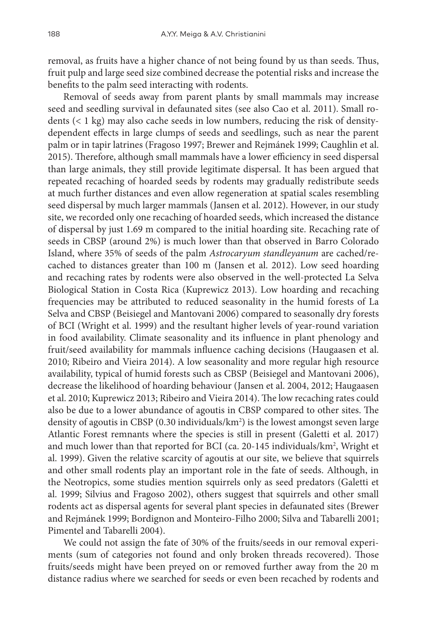removal, as fruits have a higher chance of not being found by us than seeds. Thus, fruit pulp and large seed size combined decrease the potential risks and increase the benefits to the palm seed interacting with rodents.

Removal of seeds away from parent plants by small mammals may increase seed and seedling survival in defaunated sites (see also Cao et al. 2011). Small rodents (< 1 kg) may also cache seeds in low numbers, reducing the risk of densitydependent effects in large clumps of seeds and seedlings, such as near the parent palm or in tapir latrines (Fragoso 1997; Brewer and Rejmánek 1999; Caughlin et al. 2015). Therefore, although small mammals have a lower efficiency in seed dispersal than large animals, they still provide legitimate dispersal. It has been argued that repeated recaching of hoarded seeds by rodents may gradually redistribute seeds at much further distances and even allow regeneration at spatial scales resembling seed dispersal by much larger mammals (Jansen et al. 2012). However, in our study site, we recorded only one recaching of hoarded seeds, which increased the distance of dispersal by just 1.69 m compared to the initial hoarding site. Recaching rate of seeds in CBSP (around 2%) is much lower than that observed in Barro Colorado Island, where 35% of seeds of the palm *Astrocaryum standleyanum* are cached/recached to distances greater than 100 m (Jansen et al. 2012). Low seed hoarding and recaching rates by rodents were also observed in the well-protected La Selva Biological Station in Costa Rica (Kuprewicz 2013). Low hoarding and recaching frequencies may be attributed to reduced seasonality in the humid forests of La Selva and CBSP (Beisiegel and Mantovani 2006) compared to seasonally dry forests of BCI (Wright et al. 1999) and the resultant higher levels of year-round variation in food availability. Climate seasonality and its influence in plant phenology and fruit/seed availability for mammals influence caching decisions (Haugaasen et al. 2010; Ribeiro and Vieira 2014). A low seasonality and more regular high resource availability, typical of humid forests such as CBSP (Beisiegel and Mantovani 2006), decrease the likelihood of hoarding behaviour (Jansen et al. 2004, 2012; Haugaasen et al. 2010; Kuprewicz 2013; Ribeiro and Vieira 2014). The low recaching rates could also be due to a lower abundance of agoutis in CBSP compared to other sites. The density of agoutis in CBSP (0.30 individuals/km2 ) is the lowest amongst seven large Atlantic Forest remnants where the species is still in present (Galetti et al. 2017) and much lower than that reported for BCI (ca. 20-145 individuals/km<sup>2</sup>, Wright et al. 1999). Given the relative scarcity of agoutis at our site, we believe that squirrels and other small rodents play an important role in the fate of seeds. Although, in the Neotropics, some studies mention squirrels only as seed predators (Galetti et al. 1999; Silvius and Fragoso 2002), others suggest that squirrels and other small rodents act as dispersal agents for several plant species in defaunated sites (Brewer and Rejmánek 1999; Bordignon and Monteiro-Filho 2000; Silva and Tabarelli 2001; Pimentel and Tabarelli 2004).

We could not assign the fate of 30% of the fruits/seeds in our removal experiments (sum of categories not found and only broken threads recovered). Those fruits/seeds might have been preyed on or removed further away from the 20 m distance radius where we searched for seeds or even been recached by rodents and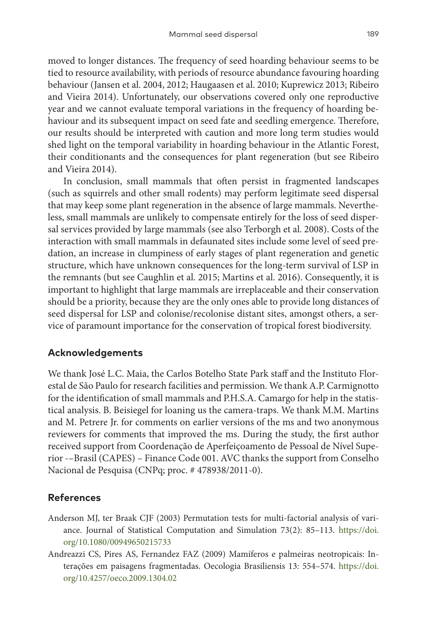moved to longer distances. The frequency of seed hoarding behaviour seems to be tied to resource availability, with periods of resource abundance favouring hoarding behaviour (Jansen et al. 2004, 2012; Haugaasen et al. 2010; Kuprewicz 2013; Ribeiro and Vieira 2014). Unfortunately, our observations covered only one reproductive year and we cannot evaluate temporal variations in the frequency of hoarding behaviour and its subsequent impact on seed fate and seedling emergence. Therefore, our results should be interpreted with caution and more long term studies would shed light on the temporal variability in hoarding behaviour in the Atlantic Forest, their conditionants and the consequences for plant regeneration (but see Ribeiro and Vieira 2014).

In conclusion, small mammals that often persist in fragmented landscapes (such as squirrels and other small rodents) may perform legitimate seed dispersal that may keep some plant regeneration in the absence of large mammals. Nevertheless, small mammals are unlikely to compensate entirely for the loss of seed dispersal services provided by large mammals (see also Terborgh et al. 2008). Costs of the interaction with small mammals in defaunated sites include some level of seed predation, an increase in clumpiness of early stages of plant regeneration and genetic structure, which have unknown consequences for the long-term survival of LSP in the remnants (but see Caughlin et al. 2015; Martins et al. 2016). Consequently, it is important to highlight that large mammals are irreplaceable and their conservation should be a priority, because they are the only ones able to provide long distances of seed dispersal for LSP and colonise/recolonise distant sites, amongst others, a service of paramount importance for the conservation of tropical forest biodiversity.

# **Acknowledgements**

We thank José L.C. Maia, the Carlos Botelho State Park staff and the Instituto Florestal de São Paulo for research facilities and permission. We thank A.P. Carmignotto for the identification of small mammals and P.H.S.A. Camargo for help in the statistical analysis. B. Beisiegel for loaning us the camera-traps. We thank M.M. Martins and M. Petrere Jr. for comments on earlier versions of the ms and two anonymous reviewers for comments that improved the ms. During the study, the first author received support from Coordenação de Aperfeiçoamento de Pessoal de Nível Superior -–Brasil (CAPES) – Finance Code 001. AVC thanks the support from Conselho Nacional de Pesquisa (CNPq; proc. # 478938/2011-0).

# **References**

- Anderson MJ, ter Braak CJF (2003) Permutation tests for multi-factorial analysis of variance. Journal of Statistical Computation and Simulation 73(2): 85–113. [https://doi.](https://doi.org/10.1080/00949650215733) [org/10.1080/00949650215733](https://doi.org/10.1080/00949650215733)
- Andreazzi CS, Pires AS, Fernandez FAZ (2009) Mamíferos e palmeiras neotropicais: Interações em paisagens fragmentadas. Oecologia Brasiliensis 13: 554–574. [https://doi.](https://doi.org/10.4257/oeco.2009.1304.02) [org/10.4257/oeco.2009.1304.02](https://doi.org/10.4257/oeco.2009.1304.02)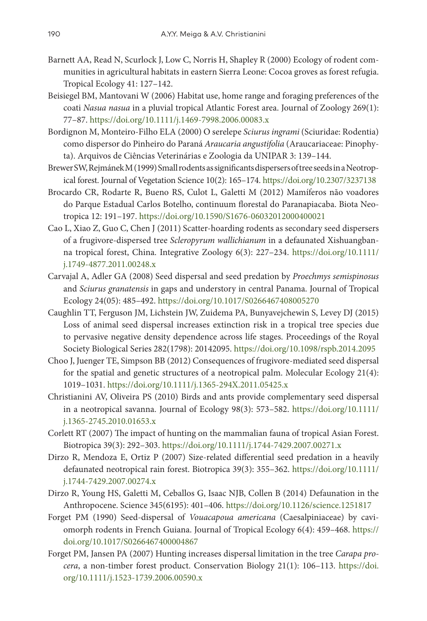- Barnett AA, Read N, Scurlock J, Low C, Norris H, Shapley R (2000) Ecology of rodent communities in agricultural habitats in eastern Sierra Leone: Cocoa groves as forest refugia. Tropical Ecology 41: 127–142.
- Beisiegel BM, Mantovani W (2006) Habitat use, home range and foraging preferences of the coati *Nasua nasua* in a pluvial tropical Atlantic Forest area. Journal of Zoology 269(1): 77–87.<https://doi.org/10.1111/j.1469-7998.2006.00083.x>
- Bordignon M, Monteiro-Filho ELA (2000) O serelepe *Sciurus ingrami* (Sciuridae: Rodentia) como dispersor do Pinheiro do Paraná *Araucaria angustifolia* (Araucariaceae: Pinophyta). Arquivos de Ciências Veterinárias e Zoologia da UNIPAR 3: 139–144.
- Brewer SW, Rejmánek M (1999) Small rodents as significants dispersers of tree seeds in a Neotropical forest. Journal of Vegetation Science 10(2): 165–174.<https://doi.org/10.2307/3237138>
- Brocardo CR, Rodarte R, Bueno RS, Culot L, Galetti M (2012) Mamíferos não voadores do Parque Estadual Carlos Botelho, continuum florestal do Paranapiacaba. Biota Neotropica 12: 191–197. <https://doi.org/10.1590/S1676-06032012000400021>
- Cao L, Xiao Z, Guo C, Chen J (2011) Scatter-hoarding rodents as secondary seed dispersers of a frugivore-dispersed tree *Scleropyrum wallichianum* in a defaunated Xishuangbanna tropical forest, China. Integrative Zoology 6(3): 227–234. [https://doi.org/10.1111/](https://doi.org/10.1111/j.1749-4877.2011.00248.x) [j.1749-4877.2011.00248.x](https://doi.org/10.1111/j.1749-4877.2011.00248.x)
- Carvajal A, Adler GA (2008) Seed dispersal and seed predation by *Proechmys semispinosus* and *Sciurus granatensis* in gaps and understory in central Panama. Journal of Tropical Ecology 24(05): 485–492.<https://doi.org/10.1017/S0266467408005270>
- Caughlin TT, Ferguson JM, Lichstein JW, Zuidema PA, Bunyavejchewin S, Levey DJ (2015) Loss of animal seed dispersal increases extinction risk in a tropical tree species due to pervasive negative density dependence across life stages. Proceedings of the Royal Society Biological Series 282(1798): 20142095.<https://doi.org/10.1098/rspb.2014.2095>
- Choo J, Juenger TE, Simpson BB (2012) Consequences of frugivore-mediated seed dispersal for the spatial and genetic structures of a neotropical palm. Molecular Ecology 21(4): 1019–1031. <https://doi.org/10.1111/j.1365-294X.2011.05425.x>
- Christianini AV, Oliveira PS (2010) Birds and ants provide complementary seed dispersal in a neotropical savanna. Journal of Ecology 98(3): 573–582. [https://doi.org/10.1111/](https://doi.org/10.1111/j.1365-2745.2010.01653.x) [j.1365-2745.2010.01653.x](https://doi.org/10.1111/j.1365-2745.2010.01653.x)
- Corlett RT (2007) The impact of hunting on the mammalian fauna of tropical Asian Forest. Biotropica 39(3): 292–303. <https://doi.org/10.1111/j.1744-7429.2007.00271.x>
- Dirzo R, Mendoza E, Ortiz P (2007) Size-related differential seed predation in a heavily defaunated neotropical rain forest. Biotropica 39(3): 355–362. [https://doi.org/10.1111/](https://doi.org/10.1111/j.1744-7429.2007.00274.x) [j.1744-7429.2007.00274.x](https://doi.org/10.1111/j.1744-7429.2007.00274.x)
- Dirzo R, Young HS, Galetti M, Ceballos G, Isaac NJB, Collen B (2014) Defaunation in the Anthropocene. Science 345(6195): 401–406. <https://doi.org/10.1126/science.1251817>
- Forget PM (1990) Seed-dispersal of *Vouacapoua americana* (Caesalpiniaceae) by caviomorph rodents in French Guiana. Journal of Tropical Ecology 6(4): 459–468. [https://](https://doi.org/10.1017/S0266467400004867) [doi.org/10.1017/S0266467400004867](https://doi.org/10.1017/S0266467400004867)
- Forget PM, Jansen PA (2007) Hunting increases dispersal limitation in the tree *Carapa procera*, a non-timber forest product. Conservation Biology 21(1): 106–113. [https://doi.](https://doi.org/10.1111/j.1523-1739.2006.00590.x) [org/10.1111/j.1523-1739.2006.00590.x](https://doi.org/10.1111/j.1523-1739.2006.00590.x)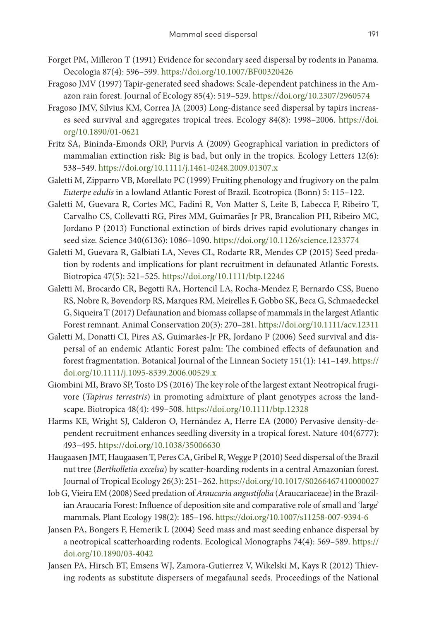- Forget PM, Milleron T (1991) Evidence for secondary seed dispersal by rodents in Panama. Oecologia 87(4): 596–599. <https://doi.org/10.1007/BF00320426>
- Fragoso JMV (1997) Tapir-generated seed shadows: Scale-dependent patchiness in the Amazon rain forest. Journal of Ecology 85(4): 519–529. <https://doi.org/10.2307/2960574>
- Fragoso JMV, Silvius KM, Correa JA (2003) Long-distance seed dispersal by tapirs increases seed survival and aggregates tropical trees. Ecology 84(8): 1998–2006. [https://doi.](https://doi.org/10.1890/01-0621) [org/10.1890/01-0621](https://doi.org/10.1890/01-0621)
- Fritz SA, Bininda-Emonds ORP, Purvis A (2009) Geographical variation in predictors of mammalian extinction risk: Big is bad, but only in the tropics. Ecology Letters 12(6): 538–549. <https://doi.org/10.1111/j.1461-0248.2009.01307.x>
- Galetti M, Zipparro VB, Morellato PC (1999) Fruiting phenology and frugivory on the palm *Euterpe edulis* in a lowland Atlantic Forest of Brazil. Ecotropica (Bonn) 5: 115–122.
- Galetti M, Guevara R, Cortes MC, Fadini R, Von Matter S, Leite B, Labecca F, Ribeiro T, Carvalho CS, Collevatti RG, Pires MM, Guimarães Jr PR, Brancalion PH, Ribeiro MC, Jordano P (2013) Functional extinction of birds drives rapid evolutionary changes in seed size. Science 340(6136): 1086–1090.<https://doi.org/10.1126/science.1233774>
- Galetti M, Guevara R, Galbiati LA, Neves CL, Rodarte RR, Mendes CP (2015) Seed predation by rodents and implications for plant recruitment in defaunated Atlantic Forests. Biotropica 47(5): 521–525. <https://doi.org/10.1111/btp.12246>
- Galetti M, Brocardo CR, Begotti RA, Hortencil LA, Rocha-Mendez F, Bernardo CSS, Bueno RS, Nobre R, Bovendorp RS, Marques RM, Meirelles F, Gobbo SK, Beca G, Schmaedeckel G, Siqueira T (2017) Defaunation and biomass collapse of mammals in the largest Atlantic Forest remnant. Animal Conservation 20(3): 270–281. <https://doi.org/10.1111/acv.12311>
- Galetti M, Donatti CI, Pires AS, Guimarães-Jr PR, Jordano P (2006) Seed survival and dispersal of an endemic Atlantic Forest palm: The combined effects of defaunation and forest fragmentation. Botanical Journal of the Linnean Society 151(1): 141–149. [https://](https://doi.org/10.1111/j.1095-8339.2006.00529.x) [doi.org/10.1111/j.1095-8339.2006.00529.x](https://doi.org/10.1111/j.1095-8339.2006.00529.x)
- Giombini MI, Bravo SP, Tosto DS (2016) The key role of the largest extant Neotropical frugivore (*Tapirus terrestris*) in promoting admixture of plant genotypes across the landscape. Biotropica 48(4): 499–508.<https://doi.org/10.1111/btp.12328>
- Harms KE, Wright SJ, Calderon O, Hernández A, Herre EA (2000) Pervasive density-dependent recruitment enhances seedling diversity in a tropical forest. Nature 404(6777): 493–495. <https://doi.org/10.1038/35006630>
- Haugaasen JMT, Haugaasen T, Peres CA, Gribel R, Wegge P (2010) Seed dispersal of the Brazil nut tree (*Bertholletia excelsa*) by scatter-hoarding rodents in a central Amazonian forest. Journal of Tropical Ecology 26(3): 251–262.<https://doi.org/10.1017/S0266467410000027>
- Iob G, Vieira EM (2008) Seed predation of *Araucaria angustifolia* (Araucariaceae) in the Brazilian Araucaria Forest: Influence of deposition site and comparative role of small and 'large' mammals. Plant Ecology 198(2): 185–196.<https://doi.org/10.1007/s11258-007-9394-6>
- Jansen PA, Bongers F, Hemerik L (2004) Seed mass and mast seeding enhance dispersal by a neotropical scatterhoarding rodents. Ecological Monographs 74(4): 569–589. [https://](https://doi.org/10.1890/03-4042) [doi.org/10.1890/03-4042](https://doi.org/10.1890/03-4042)
- Jansen PA, Hirsch BT, Emsens WJ, Zamora-Gutierrez V, Wikelski M, Kays R (2012) Thieving rodents as substitute dispersers of megafaunal seeds. Proceedings of the National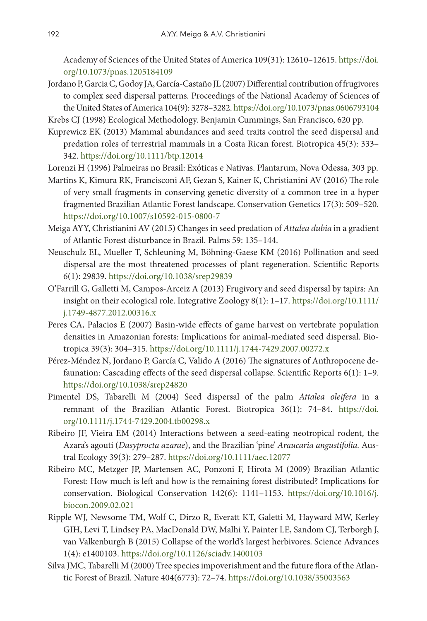Academy of Sciences of the United States of America 109(31): 12610–12615. [https://doi.](https://doi.org/10.1073/pnas.1205184109) [org/10.1073/pnas.1205184109](https://doi.org/10.1073/pnas.1205184109)

- Jordano P, Garcia C, Godoy JA, García-Castaño JL (2007) Differential contribution of frugivores to complex seed dispersal patterns. Proceedings of the National Academy of Sciences of the United States of America 104(9): 3278–3282.<https://doi.org/10.1073/pnas.0606793104>
- Krebs CJ (1998) Ecological Methodology. Benjamin Cummings, San Francisco, 620 pp.
- Kuprewicz EK (2013) Mammal abundances and seed traits control the seed dispersal and predation roles of terrestrial mammals in a Costa Rican forest. Biotropica 45(3): 333– 342.<https://doi.org/10.1111/btp.12014>
- Lorenzi H (1996) Palmeiras no Brasil: Exóticas e Nativas. Plantarum, Nova Odessa, 303 pp.
- Martins K, Kimura RK, Francisconi AF, Gezan S, Kainer K, Christianini AV (2016) The role of very small fragments in conserving genetic diversity of a common tree in a hyper fragmented Brazilian Atlantic Forest landscape. Conservation Genetics 17(3): 509–520. <https://doi.org/10.1007/s10592-015-0800-7>
- Meiga AYY, Christianini AV (2015) Changes in seed predation of *Attalea dubia* in a gradient of Atlantic Forest disturbance in Brazil. Palms 59: 135–144.
- Neuschulz EL, Mueller T, Schleuning M, Böhning-Gaese KM (2016) Pollination and seed dispersal are the most threatened processes of plant regeneration. Scientific Reports 6(1): 29839.<https://doi.org/10.1038/srep29839>
- O'Farrill G, Galletti M, Campos-Arceiz A (2013) Frugivory and seed dispersal by tapirs: An insight on their ecological role. Integrative Zoology 8(1): 1–17. [https://doi.org/10.1111/](https://doi.org/10.1111/j.1749-4877.2012.00316.x) [j.1749-4877.2012.00316.x](https://doi.org/10.1111/j.1749-4877.2012.00316.x)
- Peres CA, Palacios E (2007) Basin-wide effects of game harvest on vertebrate population densities in Amazonian forests: Implications for animal-mediated seed dispersal. Biotropica 39(3): 304–315.<https://doi.org/10.1111/j.1744-7429.2007.00272.x>
- Pérez-Méndez N, Jordano P, García C, Valido A (2016) The signatures of Anthropocene defaunation: Cascading effects of the seed dispersal collapse. Scientific Reports 6(1): 1–9. <https://doi.org/10.1038/srep24820>
- Pimentel DS, Tabarelli M (2004) Seed dispersal of the palm *Attalea oleifera* in a remnant of the Brazilian Atlantic Forest. Biotropica 36(1): 74–84. [https://doi.](https://doi.org/10.1111/j.1744-7429.2004.tb00298.x) [org/10.1111/j.1744-7429.2004.tb00298.x](https://doi.org/10.1111/j.1744-7429.2004.tb00298.x)
- Ribeiro JF, Vieira EM (2014) Interactions between a seed-eating neotropical rodent, the Azara's agouti (*Dasyprocta azarae*), and the Brazilian 'pine' *Araucaria angustifolia.* Austral Ecology 39(3): 279–287.<https://doi.org/10.1111/aec.12077>
- Ribeiro MC, Metzger JP, Martensen AC, Ponzoni F, Hirota M (2009) Brazilian Atlantic Forest: How much is left and how is the remaining forest distributed? Implications for conservation. Biological Conservation 142(6): 1141–1153. [https://doi.org/10.1016/j.](https://doi.org/10.1016/j.biocon.2009.02.021) [biocon.2009.02.021](https://doi.org/10.1016/j.biocon.2009.02.021)
- Ripple WJ, Newsome TM, Wolf C, Dirzo R, Everatt KT, Galetti M, Hayward MW, Kerley GIH, Levi T, Lindsey PA, MacDonald DW, Malhi Y, Painter LE, Sandom CJ, Terborgh J, van Valkenburgh B (2015) Collapse of the world's largest herbivores. Science Advances 1(4): e1400103. <https://doi.org/10.1126/sciadv.1400103>
- Silva JMC, Tabarelli M (2000) Tree species impoverishment and the future flora of the Atlantic Forest of Brazil. Nature 404(6773): 72–74.<https://doi.org/10.1038/35003563>